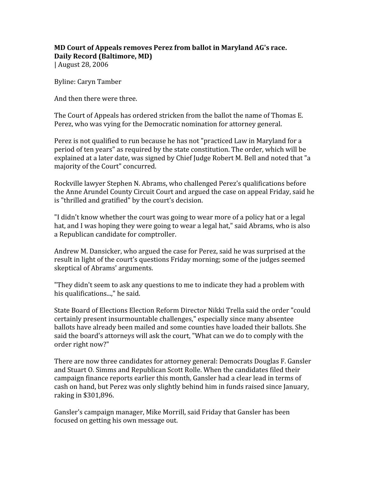## **MD Court of Appeals removes Perez from ballot in Maryland AG's race. Daily Record (Baltimore, MD)**

| August 28, 2006

Byline: Caryn Tamber

And then there were three.

The Court of Appeals has ordered stricken from the ballot the name of Thomas E. Perez, who was vying for the Democratic nomination for attorney general.

Perez is not qualified to run because he has not "practiced Law in Maryland for a period of ten years" as required by the state constitution. The order, which will be explained at a later date, was signed by Chief Judge Robert M. Bell and noted that "a majority of the Court" concurred.

Rockville lawyer Stephen N. Abrams, who challenged Perez's qualifications before the Anne Arundel County Circuit Court and argued the case on appeal Friday, said he is "thrilled and gratified" by the court's decision.

"I didn't know whether the court was going to wear more of a policy hat or a legal hat, and I was hoping they were going to wear a legal hat," said Abrams, who is also a Republican candidate for comptroller.

Andrew M. Dansicker, who argued the case for Perez, said he was surprised at the result in light of the court's questions Friday morning; some of the judges seemed skeptical of Abrams' arguments.

"They didn't seem to ask any questions to me to indicate they had a problem with his qualifications...," he said.

State Board of Elections Election Reform Director Nikki Trella said the order "could certainly present insurmountable challenges," especially since many absentee ballots have already been mailed and some counties have loaded their ballots. She said the board's attorneys will ask the court, "What can we do to comply with the order right now?"

There are now three candidates for attorney general: Democrats Douglas F. Gansler and Stuart O. Simms and Republican Scott Rolle. When the candidates filed their campaign finance reports earlier this month, Gansler had a clear lead in terms of cash on hand, but Perez was only slightly behind him in funds raised since January, raking in \$301,896.

Gansler's campaign manager, Mike Morrill, said Friday that Gansler has been focused on getting his own message out.